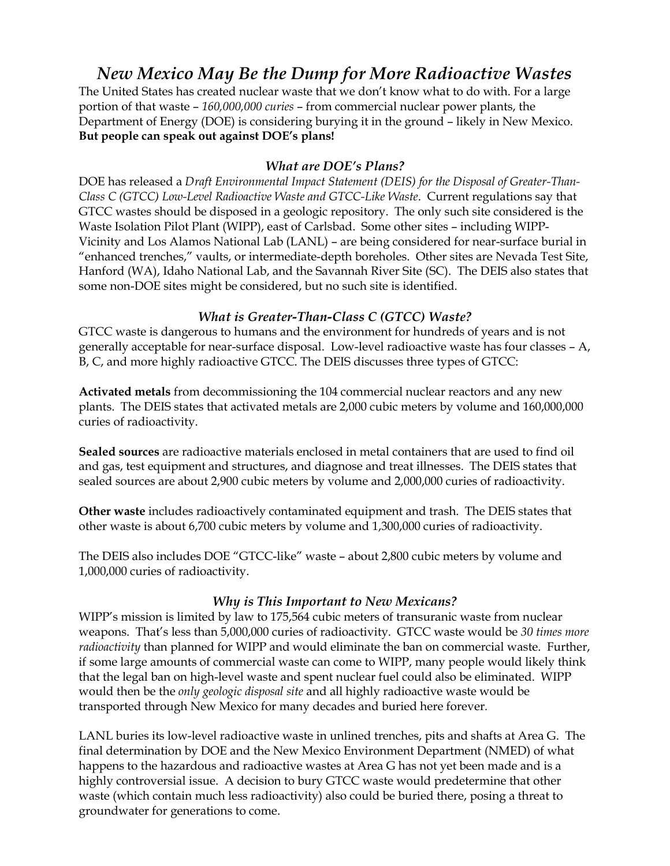# *New Mexico May Be the Dump for More Radioactive Wastes*

The United States has created nuclear waste that we don't know what to do with. For a large portion of that waste – *160,000,000 curies* – from commercial nuclear power plants, the Department of Energy (DOE) is considering burying it in the ground – likely in New Mexico. **But people can speak out against DOE's plans!**

# *What are DOE's Plans?*

DOE has released a *Draft Environmental Impact Statement (DEIS) for the Disposal of Greater-Than-Class C (GTCC) Low-Level Radioactive Waste and GTCC-Like Waste*. Current regulations say that GTCC wastes should be disposed in a geologic repository. The only such site considered is the Waste Isolation Pilot Plant (WIPP), east of Carlsbad. Some other sites – including WIPP-Vicinity and Los Alamos National Lab (LANL) – are being considered for near-surface burial in "enhanced trenches," vaults, or intermediate-depth boreholes. Other sites are Nevada Test Site, Hanford (WA), Idaho National Lab, and the Savannah River Site (SC). The DEIS also states that some non-DOE sites might be considered, but no such site is identified.

# *What is Greater-Than-Class C (GTCC) Waste?*

GTCC waste is dangerous to humans and the environment for hundreds of years and is not generally acceptable for near-surface disposal. Low-level radioactive waste has four classes – A, B, C, and more highly radioactive GTCC. The DEIS discusses three types of GTCC:

**Activated metals** from decommissioning the 104 commercial nuclear reactors and any new plants. The DEIS states that activated metals are 2,000 cubic meters by volume and 160,000,000 curies of radioactivity.

**Sealed sources** are radioactive materials enclosed in metal containers that are used to find oil and gas, test equipment and structures, and diagnose and treat illnesses. The DEIS states that sealed sources are about 2,900 cubic meters by volume and 2,000,000 curies of radioactivity.

**Other waste** includes radioactively contaminated equipment and trash. The DEIS states that other waste is about 6,700 cubic meters by volume and 1,300,000 curies of radioactivity.

The DEIS also includes DOE "GTCC-like" waste – about 2,800 cubic meters by volume and 1,000,000 curies of radioactivity.

## *Why is This Important to New Mexicans?*

WIPP's mission is limited by law to 175,564 cubic meters of transuranic waste from nuclear weapons. That's less than 5,000,000 curies of radioactivity. GTCC waste would be *30 times more radioactivity* than planned for WIPP and would eliminate the ban on commercial waste. Further, if some large amounts of commercial waste can come to WIPP, many people would likely think that the legal ban on high-level waste and spent nuclear fuel could also be eliminated. WIPP would then be the *only geologic disposal site* and all highly radioactive waste would be transported through New Mexico for many decades and buried here forever*.*

LANL buries its low-level radioactive waste in unlined trenches, pits and shafts at Area G. The final determination by DOE and the New Mexico Environment Department (NMED) of what happens to the hazardous and radioactive wastes at Area G has not yet been made and is a highly controversial issue. A decision to bury GTCC waste would predetermine that other waste (which contain much less radioactivity) also could be buried there, posing a threat to groundwater for generations to come.